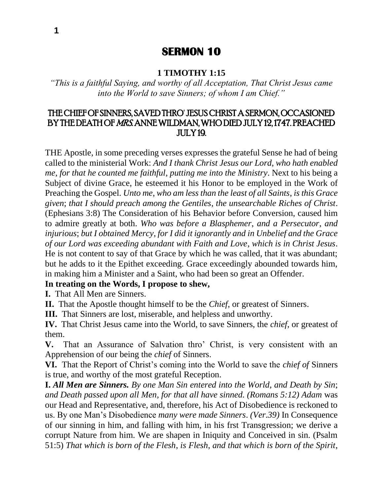# **SERMON 10**

#### **1 TIMOTHY 1:15**

*"This is a faithful Saying, and worthy of all Acceptation, That Christ Jesus came into the World to save Sinners; of whom I am Chief."*

## THE CHIEF OF SINNERS, SAVED THRO' JESUS CHRIST A SERMON, OCCASIONED BY THE DEATH OF MRS. ANNE WILDMAN, WHO DIED JULY 12, 1747. PREACHED JULY 19.

THE Apostle, in some preceding verses expresses the grateful Sense he had of being called to the ministerial Work: *And I thank Christ Jesus our Lord*, *who hath enabled me*, *for that he counted me faithful*, *putting me into the Ministry*. Next to his being a Subject of divine Grace, he esteemed it his Honor to be employed in the Work of Preaching the Gospel. *Unto me*, *who am less than the least of all Saints*, *is this Grace given*; *that I should preach among the Gentiles*, *the unsearchable Riches of Christ*. (Ephesians 3:8) The Consideration of his Behavior before Conversion, caused him to admire greatly at both. *Who was before a Blasphemer*, *and a Persecutor*, *and injurious*; *but I obtained Mercy*, *for I did it ignorantly and in Unbelief and the Grace of our Lord was exceeding abundant with Faith and Love*, *which is in Christ Jesus*. He is not content to say of that Grace by which he was called, that it was abundant; but he adds to it the Epithet exceeding. Grace exceedingly abounded towards him, in making him a Minister and a Saint, who had been so great an Offender.

#### **In treating on the Words, I propose to shew,**

**I.** That All Men are Sinners.

**II.** That the Apostle thought himself to be the *Chief*, or greatest of Sinners.

**III.** That Sinners are lost, miserable, and helpless and unworthy.

**IV.** That Christ Jesus came into the World, to save Sinners, the *chief*, or greatest of them.

**V.** That an Assurance of Salvation thro' Christ, is very consistent with an Apprehension of our being the *chief* of Sinners.

**VI.** That the Report of Christ's coming into the World to save the *chief of* Sinners is true, and worthy of the most grateful Reception.

**I.** *All Men are Sinners. By one Man Sin entered into the World*, *and Death by Sin*; *and Death passed upon all Men*, *for that all have sinned. (Romans 5:12) Adam* was our Head and Representative, and, therefore, his Act of Disobedience is reckoned to us. By one Man's Disobedience *many were made Sinners*. *(Ver.39)* In Consequence of our sinning in him, and falling with him, in his frst Transgression; we derive a corrupt Nature from him. We are shapen in Iniquity and Conceived in sin. (Psalm 51:5) *That which is born of the Flesh*, *is Flesh*, *and that which is born of the Spirit*,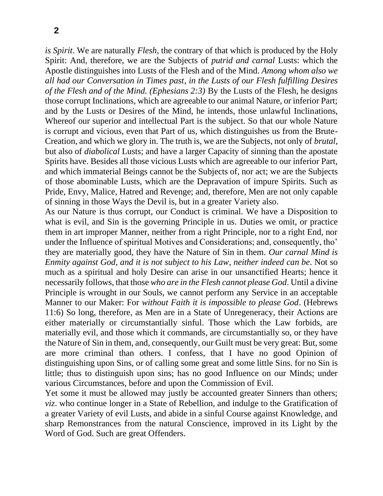*is Spirit*. We are naturally *Flesh*, the contrary of that which is produced by the Holy Spirit: And, therefore, we are the Subjects of *putrid and carnal* Lusts: which the Apostle distinguishes into Lusts of the Flesh and of the Mind. *Among whom also we all had our Conversation in Times past*, *in the Lusts of our Flesh fulfilling Desires of the Flesh and of the Mind. (Ephesians 2:3)* By the Lusts of the Flesh, he designs those corrupt Inclinations, which are agreeable to our animal Nature, or inferior Part; and by the Lusts or Desires of the Mind, he intends, those unlawful Inclinations, Whereof our superior and intellectual Part is the subject. So that our whole Nature is corrupt and vicious, even that Part of us, which distinguishes us from the Brute-Creation, and which we glory in. The truth is, we are the Subjects, not only of *brutal*, but also of *diabolical* Lusts; and have a larger Capacity of sinning than the apostate Spirits have. Besides all those vicious Lusts which are agreeable to our inferior Part, and which immaterial Beings cannot be the Subjects of, nor act; we are the Subjects of those abominable Lusts, which are the Depravation of impure Spirits. Such as Pride, Envy, Malice, Hatred and Revenge; and, therefore, Men are not only capable of sinning in those Ways the Devil is, but in a greater Variety also.

As our Nature is thus corrupt, our Conduct is criminal. We have a Disposition to what is evil, and Sin is the governing Principle in us. Duties we omit, or practice them in art improper Manner, neither from a right Principle, nor to a right End, nor under the Influence of spiritual Motives and Considerations; and, consequently, tho' they are materially good, they have the Nature of Sin in them. *Our carnal Mind is Enmity against God*, *and it is not subject to his Law*, *neither indeed can be*. Not so much as a spiritual and holy Desire can arise in our unsanctified Hearts; hence it necessarily follows, that those *who are in the Flesh cannot please God*. Until a divine Principle is wrought in our Souls, we cannot perform any Service in an acceptable Manner to our Maker: For *without Faith it is impossible to please God*. (Hebrews 11:6) So long, therefore, as Men are in a State of Unregeneracy, their Actions are either materially or circumstantially sinful. Those which the Law forbids, are materially evil, and those which it commands, are circumstantially so, or they have the Nature of Sin in them, and, consequently, our Guilt must be very great: But, some are more criminal than others. I confess, that I have no good Opinion of distinguishing upon Sins, or of calling some great and some little Sins. for no Sin is little; thus to distinguish upon sins; has no good Influence on our Minds; under various Circumstances, before and upon the Commission of Evil.

Yet some it must be allowed may justly be accounted greater Sinners than others; *viz*. who continue longer in a State of Rebellion, and indulge to the Gratification of a greater Variety of evil Lusts, and abide in a sinful Course against Knowledge, and sharp Remonstrances from the natural Conscience, improved in its Light by the Word of God. Such are great Offenders.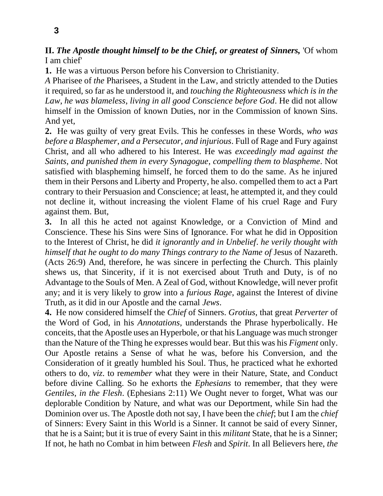**II.** *The Apostle thought himself to be the Chief, or greatest of Sinners,* 'Of whom I am chief'

**1.** He was a virtuous Person before his Conversion to Christianity.

*A* Pharisee of *the* Pharisees, a Student in the Law, and strictly attended to the Duties it required, so far as he understood it, and *touching the Righteousness which is in the Law*, *he was blameless*, *living in all good Conscience before God*. He did not allow himself in the Omission of known Duties, nor in the Commission of known Sins. And yet,

**2.** He was guilty of very great Evils. This he confesses in these Words, *who was before a Blasphemer*, *and a Persecutor*, *and injurious*. Full of Rage and Fury against Christ, and all who adhered to his Interest. He was *exceedingly mad against the Saints*, *and punished them in every Synagogue*, *compelling them to blaspheme*. Not satisfied with blaspheming himself, he forced them to do the same. As he injured them in their Persons and Liberty and Property, he also. compelled them to act a Part contrary to their Persuasion and Conscience; at least, he attempted it, and they could not decline it, without increasing the violent Flame of his cruel Rage and Fury against them. But,

**3.** In all this he acted not against Knowledge, or a Conviction of Mind and Conscience. These his Sins were Sins of Ignorance. For what he did in Opposition to the Interest of Christ, he did *it ignorantly and in Unbelief*. *he verily thought with himself that he ought to do many Things contrary to the Name of* Jesus of Nazareth. (Acts 26:9) And, therefore, he was sincere in perfecting the Church. This plainly shews us, that Sincerity, if it is not exercised about Truth and Duty, is of no Advantage to the Souls of Men. A Zeal of God, without Knowledge, will never profit any; and it is very likely to grow into a *furious Rage*, against the Interest of divine Truth, as it did in our Apostle and the carnal *Jews*.

**4.** He now considered himself the *Chief* of Sinners. *Grotius*, that great *Perverter* of the Word of God, in his *Annotations*, understands the Phrase hyperbolically. He conceits, that the Apostle uses an Hyperbole, or that his Language was much stronger than the Nature of the Thing he expresses would bear. But this was his *Figment* only. Our Apostle retains a Sense of what he was, before his Conversion, and the Consideration of it greatly humbled his Soul. Thus, he practiced what he exhorted others to do, *viz*. to re*member* what they were in their Nature, State, and Conduct before divine Calling. So he exhorts the *Ephesians* to remember, that they were *Gentiles*, *in the Flesh*. (Ephesians 2:11) We Ought never to forget, What was our deplorable Condition by Nature, and what was our Deportment, while Sin had the Dominion over us. The Apostle doth not say, I have been the *chief*; but I am the *chief*  of Sinners: Every Saint in this World is a Sinner. It cannot be said of every Sinner, that he is a Saint; but it is true of every Saint in this *militant* State, that he is a Sinner; If not, he hath no Combat in him between *Flesh* and *Spirit*. In all Believers here, *the*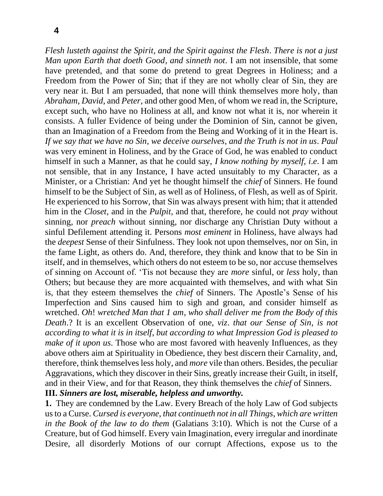*Flesh lusteth against the Spirit*, *and the Spirit against the Flesh*. *There is not a just Man upon Earth that doeth Good*, *and sinneth not*. I am not insensible, that some have pretended, and that some do pretend to great Degrees in Holiness; and a Freedom from the Power of Sin; that if they are not wholly clear of Sin, they are very near it. But I am persuaded, that none will think themselves more holy, than *Abraham*, *David*, and *Peter*, and other good Men, of whom we read in, the Scripture, except such, who have no Holiness at all, and know not what it is, nor wherein it consists. A fuller Evidence of being under the Dominion of Sin, cannot be given, than an Imagination of a Freedom from the Being and Working of it in the Heart is. *If we say that we have no Sin*, *we deceive ourselves*, *and the Truth is not in us*. *Paul*  was very eminent in Holiness, and by the Grace of God, he was enabled to conduct himself in such a Manner, as that he could say, *I know nothing by myself*, *i*.*e*. I am not sensible, that in any Instance, I have acted unsuitably to my Character, as a Minister, or a Christian: And yet he thought himself the *chief* of Sinners. He found himself to be the Subject of Sin, as well as of Holiness, of Flesh, as well as of Spirit. He experienced to his Sorrow, that Sin was always present with him; that it attended him in the *Closet*, and in the *Pulpit*, and that, therefore, he could not *pray* without sinning, nor *preach* without sinning, nor discharge any Christian Duty without a sinful Defilement attending it. Persons *most eminent* in Holiness, have always had the *deepest* Sense of their Sinfulness. They look not upon themselves, nor on Sin, in the fame Light, as others do. And, therefore, they think and know that to be Sin in itself, and in themselves, which others do not esteem to be so, nor accuse themselves of sinning on Account of. 'Tis not because they are *more* sinful, or *less* holy, than Others; but because they are more acquainted with themselves, and with what Sin is, that they esteem themselves the *chief* of Sinners. The Apostle's Sense of his Imperfection and Sins caused him to sigh and groan, and consider himself as wretched. *Oh*! *wretched Man that 1 am*, *who shall deliver me from the Body of this Death*.? It is an excellent Observation of one, *viz*. *that our Sense of Sin*, *is not according to what it is in itself*, *but according to what Impression God is pleased to make of it upon us*. Those who are most favored with heavenly Influences, as they above others aim at Spirituality in Obedience, they best discern their Carnality, and, therefore, think themselves less holy, and *more* vile than others. Besides, the peculiar Aggravations, which they discover in their Sins, greatly increase their Guilt, in itself, and in their View, and for that Reason, they think themselves the *chief* of Sinners. **III.** *Sinners are lost, miserable, helpless and unworthy.*

**1.** They are condemned by the Law. Every Breach of the holy Law of God subjects us to a Curse. *Cursed is everyone*, *that continueth not in all Things*, *which are written in the Book of the law to do them* (Galatians 3:10). Which is not the Curse of a Creature, but of God himself. Every vain Imagination, every irregular and inordinate Desire, all disorderly Motions of our corrupt Affections, expose us to the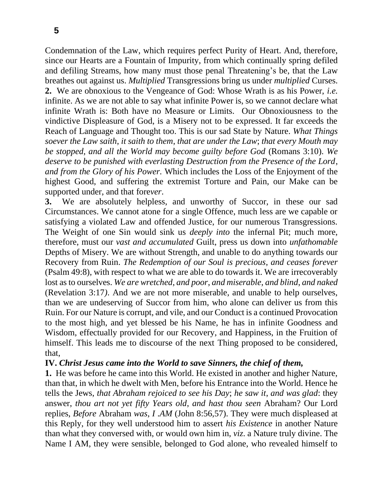Condemnation of the Law, which requires perfect Purity of Heart. And, therefore, since our Hearts are a Fountain of Impurity, from which continually spring defiled and defiling Streams, how many must those penal Threatening's be, that the Law breathes out against us. *Multiplied* Transgressions bring us under *multiplied* Curses. **2.** We are obnoxious to the Vengeance of God: Whose Wrath is as his Power, *i.e.*  infinite. As we are not able to say what infinite Power is, so we cannot declare what infinite Wrath is: Both have no Measure or Limits. Our Obnoxiousness to the vindictive Displeasure of God, is a Misery not to be expressed. It far exceeds the Reach of Language and Thought too. This is our sad State by Nature. *What Things soever the Law saith*, *it saith to them*, *that are under the Law*; *that every Mouth may be stopped*, *and all the World may become guilty before God* (Romans 3:10). *We deserve to be punished with everlasting Destruction from the Presence of the Lord*, *and from the Glory of his Power.* Which includes the Loss of the Enjoyment of the highest Good, and suffering the extremist Torture and Pain, our Make can be supported under, and that fore*ver*.

**3.** We are absolutely helpless, and unworthy of Succor, in these our sad Circumstances. We cannot atone for a single Offence, much less are we capable or satisfying a violated Law and offended Justice, for our numerous Transgressions. The Weight of one Sin would sink us *deeply into* the infernal Pit; much more, therefore, must our *vast and accumulated* Guilt, press us down into *unfathomable*  Depths of Misery. We are without Strength, and unable to do anything towards our Recovery from Ruin. *The Redemption of our Soul is precious*, *and ceases forever* (Psalm 49:8), with respect to what we are able to do towards it. We are irrecoverably lost as to ourselves. *We are wretched*, *and poor*, *and miserable*, *and blind*, *and naked*  (Revelation 3:17*)*. And we are not more miserable, and unable to help ourselves, than we are undeserving of Succor from him, who alone can deliver us from this Ruin. For our Nature is corrupt, and vile, and our Conduct is a continued Provocation to the most high, and yet blessed be his Name, he has in infinite Goodness and Wisdom, effectually provided for our Recovery, and Happiness, in the Fruition of himself. This leads me to discourse of the next Thing proposed to be considered, that,

### **IV.** *Christ Jesus came into the World to save Sinners, the chief of them,*

**1.** He was before he came into this World. He existed in another and higher Nature, than that, in which he dwelt with Men, before his Entrance into the World. Hence he tells the Jews, *that Abraham rejoiced to see his Day*; *he saw it*, *and was glad*: they answer, *thou art not yet fifty Years old*, *and hast thou seen* Abraham? Our Lord replies, *Before* Abraham *was*, *I* .*AM* (John 8:56,57). They were much displeased at this Reply, for they well understood him to assert *his Existence* in another Nature than what they conversed with, or would own him in, *viz*. a Nature truly divine. The Name I AM, they were sensible, belonged to God alone, who revealed himself to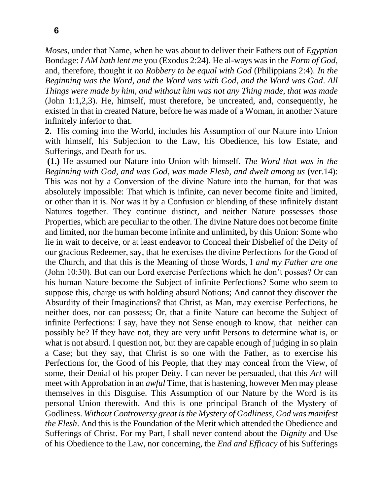*Moses*, under that Name, when he was about to deliver their Fathers out of *Egyptian*  Bondage: *I AM hath lent me* you (Exodus 2:24). He al-ways was in the *Form of God*, and, therefore, thought it *no Robbery to be equal with God* (Philippians 2:4). *In the Beginning was the Word*, *and the Word was with God*, *and the Word was God*. *All Things were made by him*, *and without him was not any Thing made*, *that was made*  (John 1:1,2,3). He, himself, must therefore, be uncreated, and, consequently, he existed in that in created Nature, before he was made of a Woman, in another Nature infinitely inferior to that.

**2.** His coming into the World, includes his Assumption of our Nature into Union with himself, his Subjection to the Law, his Obedience, his low Estate, and Sufferings, and Death for us.

**(1.)** He assumed our Nature into Union with himself. *The Word that was in the Beginning with God*, *and was God*, *was made Flesh*, *and dwelt among us* (ver.14): This was not by a Conversion of the divine Nature into the human, for that was absolutely impossible: That which is infinite, can never become finite and limited, or other than it is. Nor was it by a Confusion or blending of these infinitely distant Natures together. They continue distinct, and neither Nature possesses those Properties, which are peculiar to the other. The divine Nature does not become finite and limited, nor the human become infinite and unlimited**,** by this Union: Some who lie in wait to deceive, or at least endeavor to Conceal their Disbelief of the Deity of our gracious Redeemer, say, that he exercises the divine Perfections for the Good of the Church, and that this is the Meaning of those Words, I *and my Father are one*  (John 10:30). But can our Lord exercise Perfections which he don't posses? Or can his human Nature become the Subject of infinite Perfections? Some who seem to suppose this, charge us with holding absurd Notions; And cannot they discover the Absurdity of their Imaginations? that Christ, as Man, may exercise Perfections, he neither does, nor can possess; Or, that a finite Nature can become the Subject of infinite Perfections: I say, have they not Sense enough to know, that neither can possibly be? If they have not, they are very unfit Persons to determine what is, or what is not absurd. I question not, but they are capable enough of judging in so plain a Case; but they say, that Christ is so one with the Father, as to exercise his Perfections for, the Good of his People, that they may conceal from the View, of some, their Denial of his proper Deity. I can never be persuaded, that this *Art* will meet with Approbation in an *awful* Time, that is hastening, however Men may please themselves in this Disguise. This Assumption of our Nature by the Word is its personal Union therewith. And this is one principal Branch of the Mystery of Godliness. *Without Controversy great is the Mystery of Godliness*, *God was manifest the Flesh*. And this is the Foundation of the Merit which attended the Obedience and Sufferings of Christ. For my Part, I shall never contend about the *Dignity* and Use of his Obedience to the Law, nor concerning, the *End and Efficacy* of his Sufferings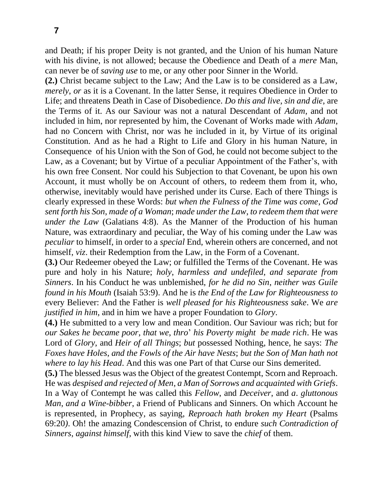and Death; if his proper Deity is not granted, and the Union of his human Nature with his divine, is not allowed; because the Obedience and Death of a *mere* Man, can never be of *saving use* to me, or any other poor Sinner in the World.

**(2.)** Christ became subject to the Law; And the Law is to be considered as a Law, *merely, or* as it is a Covenant. In the latter Sense, it requires Obedience in Order to Life; and threatens Death in Case of Disobedience. *Do this and live*, *sin and die*, are the Terms of it. As our Saviour was not a natural Descendant of *Adam*, and not included in him, nor represented by him, the Covenant of Works made with *Adam*, had no Concern with Christ, nor was he included in it, by Virtue of its original Constitution. And as he had a Right to Life and Glory in his human Nature, in Consequence of his Union with the Son of God, he could not become subject to the Law, as a Covenant; but by Virtue of a peculiar Appointment of the Father's, with his own free Consent. Nor could his Subjection to that Covenant, be upon his own Account, it must wholly be on Account of others, to redeem them from it, who, otherwise, inevitably would have perished under its Curse. Each of there Things is clearly expressed in these Words: *but when the Fulness of the Time was come*, *God sent forth his Son*, *made of a Woman*; *made under the Law*, *to redeem them that were under the Law* (Galatians 4:8). As the Manner of the Production of his human Nature, was extraordinary and peculiar, the Way of his coming under the Law was *peculiar* to himself, in order to a *special* End, wherein others are concerned, and not himself, *viz*. their Redemption from the Law, in the Form of a Covenant.

**(3.)** Our Redeemer obeyed the Law; or fulfilled the Terms of the Covenant. He was pure and holy in his Nature; *holy*, *harmless and undefiled*, *and separate from Sinners*. In his Conduct he was unblemished, *for he did no Sin*, *neither was Guile found in his Mouth* (Isaiah 53:9). And he is *the End of the Law for Righteousness to*  every Believer: And the Father is *well pleased for his Righteousness sake*. We *are justified in him*, and in him we have a proper Foundation to *Glory*.

**(4.)** He submitted to a very low and mean Condition. Our Saviour was rich; but for *our Sakes he became poor*, *that we*, *thro*' *his Poverty might be made rich*. He was Lord of *Glory*, and *Heir of all Things*; *but* possessed Nothing, hence, he says: *The Foxes have Holes*, *and the Fowls of the Air have Nests*; *but the Son of Man hath not where to lay his Head*. And this was one Part of that Curse our Sins demerited.

**(5.)** The blessed Jesus was the Object of the greatest Contempt, Scorn and Reproach. He was *despised and rejected of Men*, *a Man of Sorrows and acquainted with Griefs*. In a Way of Contempt he was called this *Fellow*, and *Deceiver*, and *a*. *gluttonous Man*, *and a Wine-bibber*, a Friend of Publicans and Sinners. On which Account he is represented, in Prophecy, as saying, *Reproach hath broken my Heart* (Psalms 69:20*)*. Oh! the amazing Condescension of Christ, to endure *such Contradiction of Sinners*, *against himself*, with this kind View to save the *chief* of them.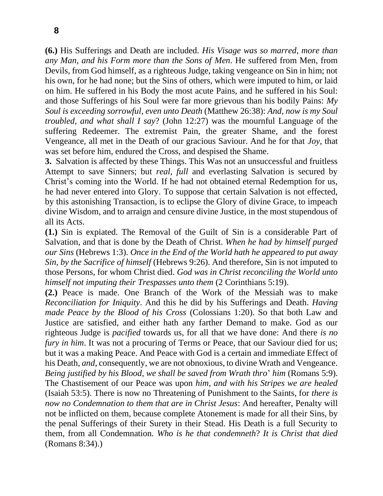**(6.)** His Sufferings and Death are included. *His Visage was so marred*, *more than any Man*, *and his Form more than the Sons of Men*. He suffered from Men, from Devils, from God himself, as a righteous Judge, taking vengeance on Sin in him; not his own, for he had none; but the Sins of others, which were imputed to him, or laid on him. He suffered in his Body the most acute Pains, and he suffered in his Soul: and those Sufferings of his Soul were far more grievous than his bodily Pains: *My Soul is exceeding sorrowful*, *even unto Death* (Matthew 26:38): *And*, *now is my Soul troubled*, *and what shall I say*? (John 12:27) was the mournful Language of the suffering Redeemer. The extremist Pain, the greater Shame, and the forest Vengeance, all met in the Death of our gracious Saviour. And he for that *Joy*, that was set before him, endured the Cross, and despised the Shame.

**3.** Salvation is affected by these Things. This Was not an unsuccessful and fruitless Attempt to save Sinners; but *real*, *full* and everlasting Salvation is secured by Christ's coming into the World. If he had not obtained eternal Redemption for us, he had never entered into Glory. To suppose that certain Salvation is not effected, by this astonishing Transaction, is to eclipse the Glory of divine Grace, to impeach divine Wisdom, and to arraign and censure divine Justice, in the most stupendous of all its Acts.

**(1.)** Sin is expiated. The Removal of the Guilt of Sin is a considerable Part of Salvation, and that is done by the Death of Christ. *When he had by himself purged our Sins* (Hebrews 1:3). *Once in the End of the World hath he appeared to put away Sin, by the Sacrifice of himself* (Hebrews 9:26). And therefore, Sin is not imputed to those Persons, for whom Christ died. *God was in Christ reconciling the World unto himself not imputing their Trespasses unto them* (2 Corinthians 5:19).

**(2.)** Peace is made. One Branch of the Work of the Messiah was to make *Reconciliation for Iniquity*. And this he did by his Sufferings and Death. *Having made Peace by the Blood of his Cross* (Colossians 1:20). So that both Law and Justice are satisfied, and either hath any farther Demand to make. God as our righteous Judge is *pacified* towards us, for all that we have done: And there *is no fury in him*. It was not a procuring of Terms or Peace, that our Saviour died for us; but it was a making Peace. And Peace with God is a certain and immediate Effect of his Death, *and*, consequently, we are not obnoxious, to divine Wrath and Vengeance. *Being justified by his Blood*, *we shall be saved from Wrath thro*' *him* (Romans 5:9). The Chastisement of our Peace was upon *him*, *and with his Stripes we are healed*  (Isaiah 53:5). There is now no Threatening of Punishment to the Saints, for *there is now no Condemnation to them that are in Christ Jesus*: And hereafter, Penalty will not be inflicted on them, because complete Atonement is made for all their Sins, by the penal Sufferings of their Surety in their Stead. His Death is a full Security to them, from all Condemnation. *Who is he that condemneth*? *It is Christ that died* (Romans 8:34).)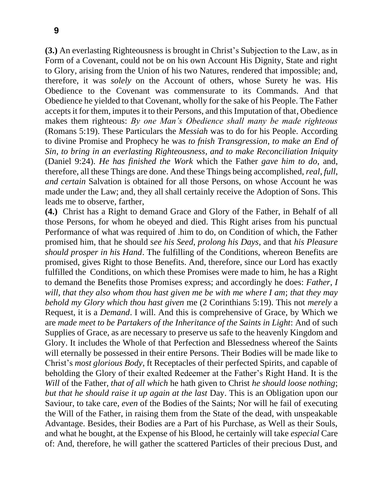**(3.)** An everlasting Righteousness is brought in Christ's Subjection to the Law, as in Form of a Covenant, could not be on his own Account His Dignity, State and right to Glory, arising from the Union of his two Natures, rendered that impossible; and, therefore, it was *solely* on the Account of others, whose Surety he was. His Obedience to the Covenant was commensurate to its Commands. And that Obedience he yielded to that Covenant, wholly for the sake of his People. The Father accepts it for them, imputes it to their Persons, and this Imputation of that, Obedience makes them righteous: *By one Man's Obedience shall many be made righteous* (Romans 5:19). These Particulars the *Messiah* was to do for his People. According to divine Promise and Prophecy he was *to fnish Transgression*, *to make an End of Sin*, *to bring in an everlasting Righteousness*, *and to make Reconciliation Iniquity*  (Daniel 9:24). *He has finished the Work* which the Father *gave him to do*, and, therefore, all these Things are done. And these Things being accomplished, *real*, *full*, *and certain* Salvation is obtained for all those Persons, on whose Account he was made under the Law; and, they all shall certainly receive the Adoption of Sons. This leads me to observe, farther,

**(4.)** Christ has a Right to demand Grace and Glory of the Father, in Behalf of all those Persons, for whom he obeyed and died. This Right arises from his punctual Performance of what was required of .him to do, on Condition of which, the Father promised him, that he should s*ee his Seed*, *prolong his Days*, and that *his Pleasure should prosper in his Hand*. The fulfilling of the Conditions, whereon Benefits are promised, gives Right to those Benefits. And, therefore, since our Lord has exactly fulfilled the Conditions, on which these Promises were made to him, he has a Right to demand the Benefits those Promises express; and accordingly he does: *Father*, *I will*, *that they also whom thou hast given me be with me where I am*; *that they may behold my Glory which thou hast given* me (2 Corinthians 5:19). This not *merely* a Request, it is a *Demand*. I will. And this is comprehensive of Grace, by Which we are *made meet to be Partakers of the Inheritance of the Saints in Light*: And of such Supplies of Grace, as are necessary to preserve us safe to the heavenly Kingdom and Glory. It includes the Whole of that Perfection and Blessedness whereof the Saints will eternally be possessed in their entire Persons. Their Bodies will be made like to Christ's *most glorious Body*, ft Receptacles of their perfected Spirits, and capable of beholding the Glory of their exalted Redeemer at the Father's Right Hand. It is the *Will* of the Father, *that of all which* he hath given to Christ *he should loose nothing*; *but that he should raise it up again at the last* Day. This is an Obligation upon our Saviour, to take care, *even* of the Bodies of the Saints; Nor will he fail of executing the Will of the Father, in raising them from the State of the dead, with unspeakable Advantage. Besides, their Bodies are a Part of his Purchase, as Well as their Souls, and what he bought, at the Expense of his Blood, he certainly will take *especial* Care of: And, therefore, he will gather the scattered Particles of their precious Dust, and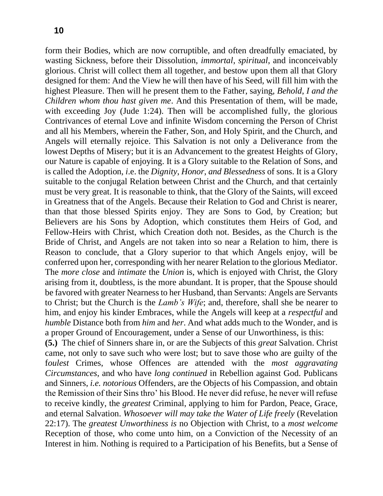form their Bodies, which are now corruptible, and often dreadfully emaciated, by wasting Sickness, before their Dissolution, *immortal*, *spiritual*, and inconceivably glorious. Christ will collect them all together, and bestow upon them all that Glory designed for them: And the View he will then have of his Seed, will fill him with the highest Pleasure. Then will he present them to the Father, saying, *Behold*, *I and the Children whom thou hast given me*. And this Presentation of them, will be made, with exceeding Joy (Jude 1:24). Then will be accomplished fully, the glorious Contrivances of eternal Love and infinite Wisdom concerning the Person of Christ and all his Members, wherein the Father, Son, and Holy Spirit, and the Church, and Angels will eternally rejoice. This Salvation is not only a Deliverance from the lowest Depths of Misery; but it is an Advancement to the greatest Heights of Glory, our Nature is capable of enjoying. It is a Glory suitable to the Relation of Sons, and is called the Adoption, *i*.e. the *Dignity*, *Honor*, *and Blessedness* of sons. It is a Glory suitable to the conjugal Relation between Christ and the Church, and that certainly must be very great. It is reasonable to think, that the Glory of the Saints, will exceed in Greatness that of the Angels. Because their Relation to God and Christ is nearer, than that those blessed Spirits enjoy. They are Sons to God, by Creation; but Believers are his Sons by Adoption, which constitutes them Heirs of God, and Fellow-Heirs with Christ, which Creation doth not. Besides, as the Church is the Bride of Christ, and Angels are not taken into so near a Relation to him, there is Reason to conclude, that a Glory superior to that which Angels enjoy, will be conferred upon her, corresponding with her nearer Relation to the glorious Mediator. The *more close* and *intimate* the *Union* is, which is enjoyed with Christ, the Glory arising from it, doubtless, is the more abundant. It is proper, that the Spouse should be favored with greater Nearness to her Husband, than Servants: Angels are Servants to Christ; but the Church is the *Lamb's Wife*; and, therefore, shall she be nearer to him, and enjoy his kinder Embraces, while the Angels will keep at a *respectful* and *humble* Distance both from *him* and *her*. And what adds much to the Wonder, and is a proper Ground of Encouragement, under a Sense of our Unworthiness, is this:

**(5.)** The chief of Sinners share in, or are the Subjects of this *great* Salvation. Christ came, not only to save such who were lost; but to save those who are guilty of the f*oulest* Crimes, whose Offences are attended with the *most aggravating Circumstances*, and who have *long continued* in Rebellion against God. Publicans and Sinners, *i.e. notorious* Offenders, are the Objects of his Compassion, and obtain the Remission of their Sins thro' his Blood. He never did refuse, he never will refuse to receive kindly, the *greatest* Criminal, applying to him for Pardon, Peace, Grace, and eternal Salvation. *Whosoever will may take the Water of Life freely* (Revelation 22:17). The *greatest Unworthiness is* no Objection with Christ, to a *most welcome*  Reception of those, who come unto him, on a Conviction of the Necessity of an Interest in him. Nothing is required to a Participation of his Benefits, but a Sense of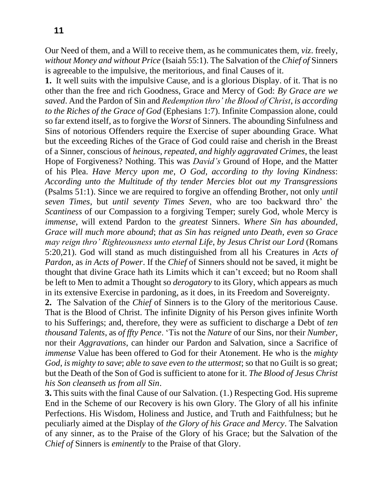Our Need of them, and a Will to receive them, as he communicates them, *viz*. freely, *without Money and without Price* (Isaiah 55:1). The Salvation of the *Chief of* Sinners is agreeable to the impulsive, the meritorious, and final Causes of it.

**1.** It well suits with the impulsive Cause, and is a glorious Display. of it. That is no other than the free and rich Goodness, Grace and Mercy of God: *By Grace are we saved*. And the Pardon of Sin and *Redemption thro' the Blood of Christ*, *is according to the Riches of the Grace of God* (Ephesians 1:7). Infinite Compassion alone, could so far extend itself, as to forgive the *Worst* of Sinners. The abounding Sinfulness and Sins of notorious Offenders require the Exercise of super abounding Grace. What but the exceeding Riches of the Grace of God could raise and cherish in the Breast of a Sinner, conscious of *heinous*, *repeated*, *and highly aggravated Crimes*, the least Hope of Forgiveness? Nothing. This was *David's* Ground of Hope, and the Matter of his Plea. *Have Mercy upon me*, *O God*, *according to thy loving Kindness*: *According unto the Multitude of thy tender Mercies blot out my Transgressions*  (Psalms 51:1). Since we are required to forgive an offending Brother, not only *until seven Times*, but *until seventy Times Seven*, who are too backward thro' the *Scantiness* of our Compassion to a forgiving Temper; surely God, whole Mercy is *immense*, will extend Pardon to the *greatest* Sinners. *Where Sin has abounded*, *Grace will much more abound*; *that as Sin has reigned unto Death*, *even so Grace may reign thro' Righteousness unto eternal Life*, *by Jesus Christ our Lord* (Romans 5:20,21). God will stand as much distinguished from all his Creatures in *Acts of Pardon*, as *in Acts of Power*. If the *Chief* of Sinners should not be saved, it might be thought that divine Grace hath its Limits which it can't exceed; but no Room shall be left to Men to admit a Thought so *derogatory* to its Glory, which appears as much in its extensive Exercise in pardoning, as it does, in its Freedom and Sovereignty.

**2.** The Salvation of the *Chief* of Sinners is to the Glory of the meritorious Cause. That is the Blood of Christ. The infinite Dignity of his Person gives infinite Worth to his Sufferings; and, therefore, they were as sufficient to discharge a Debt of *ten thousand Talents*, as *of ffty Pence*. 'Tis not the *Nature* of our Sins, nor their *Number*, nor their *Aggravations*, can hinder our Pardon and Salvation, since a Sacrifice of *immense* Value has been offered to God for their Atonement. He who is the *mighty God*, *is mighty to save*; *able to save even to the uttermost*; so that no Guilt is so great; but the Death of the Son of God is sufficient to atone for it. *The Blood of Jesus Christ his Son cleanseth us from all Sin*.

**3.** This suits with the final Cause of our Salvation. (1.) Respecting God. His supreme End in the Scheme of our Recovery is his own Glory. The Glory of all his infinite Perfections. His Wisdom, Holiness and Justice, and Truth and Faithfulness; but he peculiarly aimed at the Display of *the Glory of his Grace and Mercy*. The Salvation of any sinner, as to the Praise of the Glory of his Grace; but the Salvation of the *Chief of* Sinners is *eminently* to the Praise of that Glory.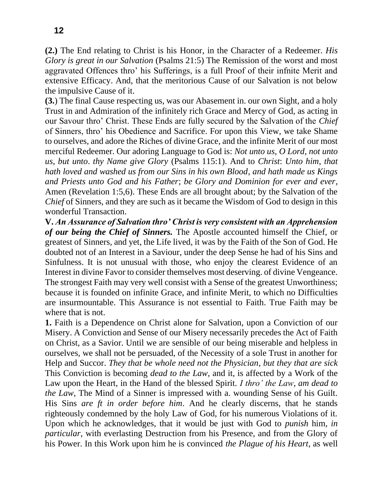**(2.)** The End relating to Christ is his Honor, in the Character of a Redeemer. *His Glory is great in our Salvation* (Psalms 21:5) The Remission of the worst and most aggravated Offences thro' his Sufferings, is a full Proof of their infnite Merit and extensive Efficacy. And, that the meritorious Cause of our Salvation is not below the impulsive Cause of it.

**(3.**) The final Cause respecting us, was our Abasement in. our own Sight, and a holy Trust in and Admiration of the infinitely rich Grace and Mercy of God, as acting in our Savour thro' Christ. These Ends are fully secured by the Salvation of the *Chief*  of Sinners, thro' his Obedience and Sacrifice. For upon this View, we take Shame to ourselves, and adore the Riches of divine Grace, and the infinite Merit of our most merciful Redeemer. Our adoring Language to God is: *Not unto us*, *O Lord*, *not unto us*, *but unto*. *thy Name give Glory* (Psalms 115:1). And to *Christ*: *Unto him*, *that hath loved and washed us from our Sins in his own Blood*, *and hath made us Kings and Priests unto God and his Father*; *be Glory and Dominion for ever and ever*, Amen (Revelation 1:5,6). These Ends are all brought about; by the Salvation of the *Chief* of Sinners, and they are such as it became the Wisdom of God to design in this wonderful Transaction.

**V.** *An Assurance of Salvation thro' Christ is very consistent with an Apprehension of our being the Chief of Sinners.* The Apostle accounted himself the Chief, or greatest of Sinners, and yet, the Life lived, it was by the Faith of the Son of God. He doubted not of an Interest in a Saviour, under the deep Sense he had of his Sins and Sinfulness. It is not unusual with those, who enjoy the clearest Evidence of an Interest in divine Favor to consider themselves most deserving. of divine Vengeance. The strongest Faith may very well consist with a Sense of the greatest Unworthiness; because it is founded on infinite Grace, and infinite Merit, to which no Difficulties are insurmountable. This Assurance is not essential to Faith. True Faith may be where that is not.

**1.** Faith is a Dependence on Christ alone for Salvation, upon a Conviction of our Misery. A Conviction and Sense of our Misery necessarily precedes the Act of Faith on Christ, as a Savior. Until we are sensible of our being miserable and helpless in ourselves, we shall not be persuaded, of the Necessity of a sole Trust in another for Help and Succor. *They that be whole need not the Physician*, *but they that are sick*  This Conviction is becoming *dead to the Law*, and it, is affected by a Work of the Law upon the Heart, in the Hand of the blessed Spirit. *I thro' the Law*, *am dead to the Law*, The Mind of a Sinner is impressed with a. wounding Sense of his Guilt. His Sins *are ft in order before him*. And he clearly discerns, that he stands righteously condemned by the holy Law of God, for his numerous Violations of it. Upon which he acknowledges, that it would be just with God to *punish* him, *in particular*, with everlasting Destruction from his Presence, and from the Glory of his Power. In this Work upon him he is convinced *the Plague of his Heart*, as well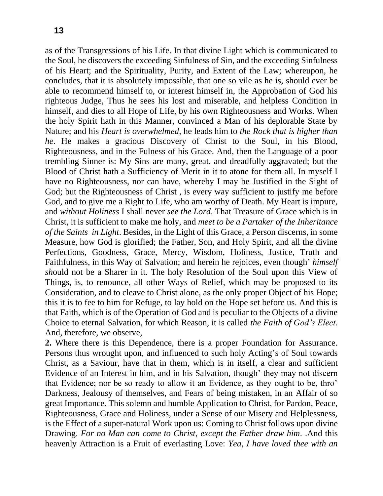as of the Transgressions of his Life. In that divine Light which is communicated to the Soul, he discovers the exceeding Sinfulness of Sin, and the exceeding Sinfulness of his Heart; and the Spirituality, Purity, and Extent of the Law; whereupon, he concludes, that it is absolutely impossible, that one so vile as he is, should ever be able to recommend himself to, or interest himself in, the Approbation of God his righteous Judge, Thus he sees his lost and miserable, and helpless Condition in himself, and dies to all Hope of Life, by his own Righteousness and Works. When the holy Spirit hath in this Manner, convinced a Man of his deplorable State by Nature; and his *Heart is overwhelmed*, he leads him to *the Rock that is higher than he*. He makes a gracious Discovery of Christ to the Soul, in his Blood, Righteousness, and in the Fulness of his Grace. And, then the Language of a poor trembling Sinner is: My Sins are many, great, and dreadfully aggravated; but the Blood of Christ hath a Sufficiency of Merit in it to atone for them all. In myself I have no Righteousness, nor can have, whereby I may be Justified in the Sight of God; but the Righteousness of Christ , is every way sufficient to justify me before God, and to give me a Right to Life, who am worthy of Death. My Heart is impure, and *without Holiness* I shall never *see the Lord*. That Treasure of Grace which is in Christ, it is sufficient to make me holy, and *meet to be a Partaker of the Inheritance of the Saints in Light*. Besides, in the Light of this Grace, a Person discerns, in some Measure, how God is glorified; the Father, Son, and Holy Spirit, and all the divine Perfections, Goodness, Grace, Mercy, Wisdom, Holiness, Justice, Truth and Faithfulness, in this Way of Salvation; and herein he rejoices, even though' *himself sh*ould not be a Sharer in it. The holy Resolution of the Soul upon this View of Things, is, to renounce, all other Ways of Relief, which may be proposed to its Consideration, and to cleave to Christ alone, as the only proper Object of his Hope; this it is to fee to him for Refuge, to lay hold on the Hope set before us. And this is that Faith, which is of the Operation of God and is peculiar to the Objects of a divine Choice to eternal Salvation, for which Reason, it is called *the Faith of God's Elect*. And, therefore, we observe,

**2.** Where there is this Dependence, there is a proper Foundation for Assurance. Persons thus wrought upon, and influenced to such holy Acting's of Soul towards Christ, as a Saviour, have that in them, which is in itself, a clear and sufficient Evidence of an Interest in him, and in his Salvation, though' they may not discern that Evidence; nor be so ready to allow it an Evidence, as they ought to be, thro' Darkness, Jealousy of themselves, and Fears of being mistaken, in an Affair of so great Importance**.** This solemn and humble Application to Christ, for Pardon, Peace, Righteousness, Grace and Holiness, under a Sense of our Misery and Helplessness, is the Effect of a super-natural Work upon us: Coming to Christ follows upon divine Drawing. *For no Man can come to Christ*, *except the Father draw him*. .And this heavenly Attraction is a Fruit of everlasting Love: *Yea*, *I have loved thee with an*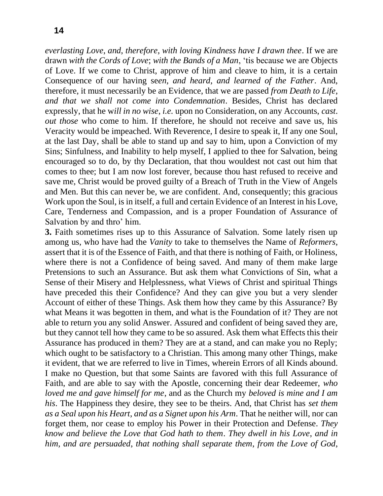*everlasting Love*, *and*, *therefore*, *with loving Kindness have I drawn thee*. If we are drawn *with the Cords of Love*; *with the Bands of a Man*, 'tis because we are Objects of Love. If we come to Christ, approve of him and cleave to him, it is a certain Consequence of our having se*en*, *and heard*, *and learned of the Father*. And, therefore, it must necessarily be an Evidence, that we are passed *from Death to Life*, *and that we shall not come into Condemnation*. Besides, Christ has declared expressly, that he w*ill in no wise*, *i.e.* upon no Consideration, on any Accounts, *cast*. *out those* who come to him. If therefore, he should not receive and save us, his Veracity would be impeached. With Reverence, I desire to speak it, If any one Soul, at the last Day, shall be able to stand up and say to him, upon a Conviction of my Sins; Sinfulness, and Inability to help myself, I applied to thee for Salvation, being encouraged so to do, by thy Declaration, that thou wouldest not cast out him that comes to thee; but I am now lost forever, because thou hast refused to receive and save me, Christ would be proved guilty of a Breach of Truth in the View of Angels and Men. But this can never be, we are confident. And, consequently; this gracious Work upon the Soul, is in itself, a full and certain Evidence of an Interest in his Love, Care, Tenderness and Compassion, and is a proper Foundation of Assurance of Salvation by and thro' him.

**3.** Faith sometimes rises up to this Assurance of Salvation. Some lately risen up among us, who have had the *Vanity* to take to themselves the Name of *Reformers*, assert that it is of the Essence of Faith, and that there is nothing of Faith, or Holiness, where there is not a Confidence of being saved. And many of them make large Pretensions to such an Assurance. But ask them what Convictions of Sin, what a Sense of their Misery and Helplessness, what Views of Christ and spiritual Things have preceded this their Confidence? And they can give you but a very slender Account of either of these Things. Ask them how they came by this Assurance? By what Means it was begotten in them, and what is the Foundation of it? They are not able to return you any solid Answer. Assured and confident of being saved they are, but they cannot tell how they came to be so assured. Ask them what Effects this their Assurance has produced in them? They are at a stand, and can make you no Reply; which ought to be satisfactory to a Christian. This among many other Things, make it evident, that we are referred to live in Times, wherein Errors of all Kinds abound. I make no Question, but that some Saints are favored with this full Assurance of Faith, and are able to say with the Apostle, concerning their dear Redeemer, *who loved me and gave himself for me*, and as the Church my *beloved is mine and I am his*. The Happiness they desire, they see to be theirs. And, that Christ has *set them as a Seal upon his Heart*, *and as a Signet upon his Arm*. That he neither will, nor can forget them, nor cease to employ his Power in their Protection and Defense. *They know and believe the Love that God hath to them*. *They dwell in his Love*, *and in him*, *and are persuaded*, *that nothing shall separate them*, *from the Love of God*,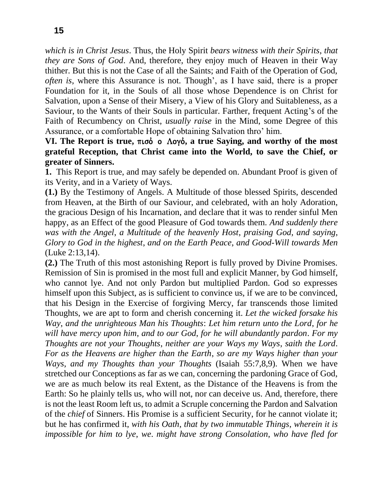*which is in Christ Jesus*. Thus, the Holy Spirit *bears witness with their Spirits*, *that they are Sons of God*. And, therefore, they enjoy much of Heaven in their Way thither. But this is not the Case of all the Saints; and Faith of the Operation of God, *often is*, where this Assurance is not. Though', as I have said, there is a proper Foundation for it, in the Souls of all those whose Dependence is on Christ for Salvation, upon a Sense of their Misery, a View of his Glory and Suitableness, as a Saviour, to the Wants of their Souls in particular. Farther, frequent Acting's of the Faith of Recumbency on Christ, *usually raise* in the Mind, some Degree of this Assurance, or a comfortable Hope of obtaining Salvation thro' him.

## **VI.** The Report is true, πισό ο Λογό, a true Saying, and worthy of the most **grateful Reception, that Christ came into the World, to save the Chief, or greater of Sinners.**

**1.** This Report is true, and may safely be depended on. Abundant Proof is given of its Verity, and in a Variety of Ways.

**(1.)** By the Testimony of Angels. A Multitude of those blessed Spirits, descended from Heaven, at the Birth of our Saviour, and celebrated, with an holy Adoration, the gracious Design of his Incarnation, and declare that it was to render sinful Men happy, as an Effect of the good Pleasure of God towards them. *And suddenly there was with the Angel*, *a Multitude of the heavenly Host*, *praising God*, *and saying*, *Glory to God in the highest*, *and on the Earth Peace*, *and Good-Will towards Men*  (Luke 2:13,14).

**(2.)** The Truth of this most astonishing Report is fully proved by Divine Promises. Remission of Sin is promised in the most full and explicit Manner, by God himself, who cannot lye. And not only Pardon but multiplied Pardon. God so expresses himself upon this Subject, as is sufficient to convince us, if we are to be convinced, that his Design in the Exercise of forgiving Mercy, far transcends those limited Thoughts, we are apt to form and cherish concerning it. *Let the wicked forsake his Way*, *and the unrighteous Man his Thoughts*: *Let him return unto the Lord*, *for he will have mercy upon him*, *and to our God*, *for he will abundantly pardon*. *For my Thoughts are not your Thoughts*, *neither are your Ways my Ways*, *saith the Lord*. *For as the Heavens are higher than the Earth*, *so are my Ways higher than your Ways*, *and my Thoughts than your Thoughts* (Isaiah 55:7,8,9). When we have stretched our Conceptions as far as we can, concerning the pardoning Grace of God, we are as much below its real Extent, as the Distance of the Heavens is from the Earth: So he plainly tells us, who will not, nor can deceive us. And, therefore, there is not the least Room left us, to admit a Scruple concerning the Pardon and Salvation of the *chief* of Sinners. His Promise is a sufficient Security, for he cannot violate it; but he has confirmed it, *with his Oath*, *that by two immutable Things*, *wherein it is impossible for him to lye*, *we*. *might have strong Consolation*, *who have fled for*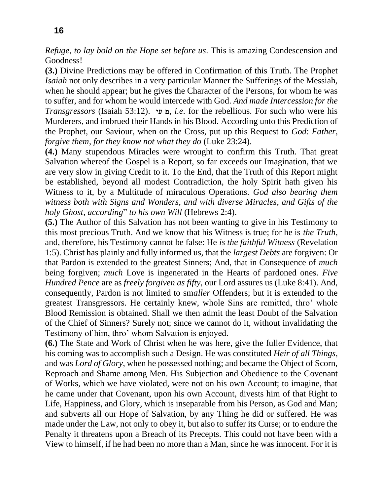*Refuge*, *to lay bold on the Hope set before us*. This is amazing Condescension and Goodness!

**(3.)** Divine Predictions may be offered in Confirmation of this Truth. The Prophet *Isaiah* not only describes in a very particular Manner the Sufferings of the Messiah, when he should appear; but he gives the Character of the Persons, for whom he was to suffer, and for whom he would intercede with God. *And made Intercession for the Transgressors* (Isaiah 53:12).  $\alpha$   $\mu$ , *i.e.* for the rebellious. For such who were his Murderers, and imbrued their Hands in his Blood. According unto this Prediction of the Prophet, our Saviour, when on the Cross, put up this Request to *God*: *Father*, *forgive them*, *for they know not what they do* (Luke 23:24).

**(4.)** Many stupendous Miracles were wrought to confirm this Truth. That great Salvation whereof the Gospel is a Report, so far exceeds our Imagination, that we are very slow in giving Credit to it. To the End, that the Truth of this Report might be established, beyond all modest Contradiction, the holy Spirit hath given his Witness to it, by a Multitude of miraculous Operations. *God also bearing them witness both with Signs and Wonders*, *and with diverse Miracles*, *and Gifts of the holy Ghost*, *according*" *to his own Will* (Hebrews 2:4).

**(5.)** The Author of this Salvation has not been wanting to give in his Testimony to this most precious Truth. And we know that his Witness is true; for he is *the Truth*, and, therefore, his Testimony cannot be false: He *is the faithful Witness* (Revelation 1:5). Christ has plainly and fully informed us, that the *largest Debts* are forgiven: Or that Pardon is extended to the greatest Sinners; And, that in Consequence of *much*  being forgiven; *much* Love is ingenerated in the Hearts of pardoned ones. *Five Hundred Pence* are as *freely forgiven as fifty*, our Lord assures us (Luke 8:41). And, consequently, Pardon is not limited to sm*aller* Offenders; but it is extended to the greatest Transgressors. He certainly knew, whole Sins are remitted, thro' whole Blood Remission is obtained. Shall we then admit the least Doubt of the Salvation of the Chief of Sinners? Surely not; since we cannot do it, without invalidating the Testimony of him, thro' whom Salvation is enjoyed.

**(6.)** The State and Work of Christ when he was here, give the fuller Evidence, that his coming was to accomplish such a Design. He was constituted *Heir of all Things*, and was *Lord of Glory*, when he possessed nothing; and became the Object of Scorn, Reproach and Shame among Men. His Subjection and Obedience to the Covenant of Works, which we have violated, were not on his own Account; to imagine, that he came under that Covenant, upon his own Account, divests him of that Right to Life, Happiness, and Glory, which is inseparable from his Person, as God and Man; and subverts all our Hope of Salvation, by any Thing he did or suffered. He was made under the Law, not only to obey it, but also to suffer its Curse; or to endure the Penalty it threatens upon a Breach of its Precepts. This could not have been with a View to himself, if he had been no more than a Man, since he was innocent. For it is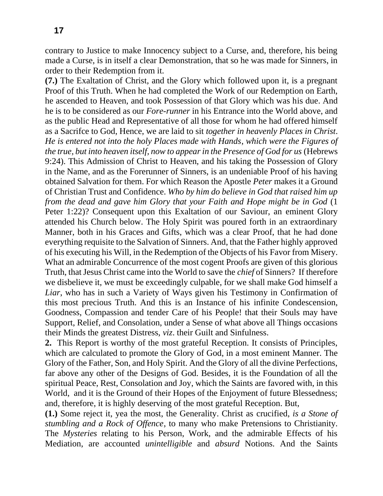contrary to Justice to make Innocency subject to a Curse, and, therefore, his being made a Curse, is in itself a clear Demonstration, that so he was made for Sinners, in order to their Redemption from it.

**(7.)** The Exaltation of Christ, and the Glory which followed upon it, is a pregnant Proof of this Truth. When he had completed the Work of our Redemption on Earth, he ascended to Heaven, and took Possession of that Glory which was his due. And he is to be considered as our *Fore-runner* in his Entrance into the World above, and as the public Head and Representative of all those for whom he had offered himself as a Sacrifce to God, Hence, we are laid to sit *together in heavenly Places in Christ*. *He is entered not into the holy Places made with Hands*, *which were the Figures of the true, but into heaven itself, now to appear in the Presence of God for us* (Hebrews 9:24). This Admission of Christ to Heaven, and his taking the Possession of Glory in the Name, and as the Forerunner of Sinners, is an undeniable Proof of his having obtained Salvation for them. For which Reason the Apostle *Peter* makes it a Ground of Christian Trust and Confidence. *Who by him do believe in God that raised him up from the dead and gave him Glory that your Faith and Hope might be in God* (1 Peter 1:22)? Consequent upon this Exaltation of our Saviour, an eminent Glory attended his Church below. The Holy Spirit was poured forth in an extraordinary Manner, both in his Graces and Gifts, which was a clear Proof, that he had done everything requisite to the Salvation of Sinners. And, that the Father highly approved of his executing his Will, in the Redemption of the Objects of his Favor from Misery. What an admirable Concurrence of the most cogent Proofs are given of this glorious Truth, that Jesus Christ came into the World to save the *chief* of Sinners? If therefore we disbelieve it, we must be exceedingly culpable, for we shall make God himself a *Liar*, who has in such a Variety of Ways given his Testimony in Confirmation of this most precious Truth. And this is an Instance of his infinite Condescension, Goodness, Compassion and tender Care of his People! that their Souls may have Support, Relief, and Consolation, under a Sense of what above all Things occasions their Minds the greatest Distress, *viz*. their Guilt and Sinfulness.

**2.** This Report is worthy of the most grateful Reception. It consists of Principles, which are calculated to promote the Glory of God, in a most eminent Manner. The Glory of the Father, Son, and Holy Spirit. And the Glory of all the divine Perfections, far above any other of the Designs of God. Besides, it is the Foundation of all the spiritual Peace, Rest, Consolation and Joy, which the Saints are favored with, in this World, and it is the Ground of their Hopes of the Enjoyment of future Blessedness; and, therefore, it is highly deserving of the most grateful Reception. But,

**(1.)** Some reject it, yea the most, the Generality. Christ as crucified, *is a Stone of stumbling and a Rock of Offence*, to many who make Pretensions to Christianity. The *Mysteries* relating to his Person, Work, and the admirable Effects of his Mediation, are accounted *unintelligible* and *absurd* Notions. And the Saints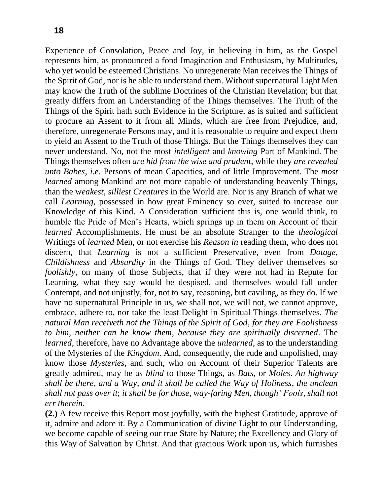Experience of Consolation, Peace and Joy, in believing in him, as the Gospel represents him, as pronounced a fond Imagination and Enthusiasm, by Multitudes, who yet would be esteemed Christians. No unregenerate Man receives the Things of the Spirit of God, nor is he able to understand them. Without supernatural Light Men may know the Truth of the sublime Doctrines of the Christian Revelation; but that greatly differs from an Understanding of the Things themselves. The Truth of the Things of the Spirit hath such Evidence in the Scripture, as is suited and sufficient to procure an Assent to it from all Minds, which are free from Prejudice, and, therefore, unregenerate Persons may, and it is reasonable to require and expect them to yield an Assent to the Truth of those Things. But the Things themselves they can never understand. No, not the most *intelligent* and *knowing* Part of Mankind. The Things themselves often *are hid from the wise and prudent*, while they *are revealed unto Babes*, *i*.*e*. Persons of mean Capacities, and of little Improvement. The *most learned* among Mankind are not more capable of understanding heavenly Things, than the w*eakest*, *silliest Creatures* in the World are. Nor is any Branch of what we call *Learning*, possessed in how great Eminency so ever, suited to increase our Knowledge of this Kind. A Consideration sufficient this is, one would think, to humble the Pride of Men's Hearts, which springs up in them on Account of their *learned* Accomplishments. He must be an absolute Stranger to the *theological*  Writings of *learned* Men, or not exercise his *Reason in* reading them, who does not discern, that *Learning* is not a sufficient Preservative, even from *Dotage*, *Childishness* and *Absurdity* in the Things of God. They deliver themselves so *foolishly*, on many of those Subjects, that if they were not had in Repute for Learning, what they say would be despised, and themselves would fall under Contempt, and not unjustly, for, not to say, reasoning, but caviling, as they do. If we have no supernatural Principle in us, we shall not, we will not, we cannot approve, embrace, adhere to, nor take the least Delight in Spiritual Things themselves. *The natural Man receiveth not the Things of the Spirit of God*, *for they are Foolishness to him*, *neither can he know them*, *because they are spiritually discerned*. The *learned*, therefore, have no Advantage above the *unlearned*, as to the understanding of the Mysteries of the *Kingdom*. And, consequently, the rude and unpolished, may know those *Mysteries*, and such, who on Account of their Superior Talents are greatly admired, may be as *blind* to those Things, as *Bats*, or *Moles*. *An highway shall be there*, *and a Way*, *and it shall be called the Way of Holiness*, *the unclean shall not pass over it*; *it shall be for those*, *way-faring Men*, *though' Fools*, *shall not err therein*.

**(2.)** A few receive this Report most joyfully, with the highest Gratitude, approve of it, admire and adore it. By a Communication of divine Light to our Understanding, we become capable of seeing our true State by Nature; the Excellency and Glory of this Way of Salvation by Christ. And that gracious Work upon us, which furnishes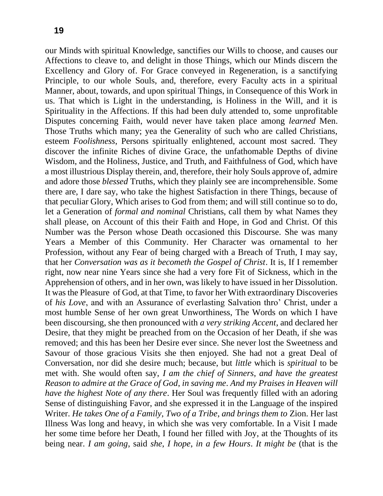our Minds with spiritual Knowledge, sanctifies our Wills to choose, and causes our Affections to cleave to, and delight in those Things, which our Minds discern the Excellency and Glory of. For Grace conveyed in Regeneration, is a sanctifying Principle, to our whole Souls, and, therefore, every Faculty acts in a spiritual Manner, about, towards, and upon spiritual Things, in Consequence of this Work in us. That which is Light in the understanding, is Holiness in the Will, and it is Spirituality in the Affections. If this had been duly attended to, some unprofitable Disputes concerning Faith, would never have taken place among *learned* Men. Those Truths which many; yea the Generality of such who are called Christians, esteem *Foolishness*, Persons spiritually enlightened, account most sacred. They discover the infinite Riches of divine Grace, the unfathomable Depths of divine Wisdom, and the Holiness, Justice, and Truth, and Faithfulness of God, which have a most illustrious Display therein, and, therefore, their holy Souls approve of, admire and adore those *blessed* Truths, which they plainly see are incomprehensible. Some there are, I dare say, who take the highest Satisfaction in there Things, because of that peculiar Glory, Which arises to God from them; and will still continue so to do, let a Generation of *formal and nominal* Christians, call them by what Names they shall please, on Account of this their Faith and Hope, in God and Christ. Of this Number was the Person whose Death occasioned this Discourse. She was many Years a Member of this Community. Her Character was ornamental to her Profession, without any Fear of being charged with a Breach of Truth, I may say, that her *Conversation was as it becometh the Gospel of Christ*. It is, If I remember right, now near nine Years since she had a very fore Fit of Sickness, which in the Apprehension of others, and in her own, was likely to have issued in her Dissolution. It was the Pleasure of God, at that Time, to favor her With extraordinary Discoveries of *his Love*, and with an Assurance of everlasting Salvation thro' Christ, under a most humble Sense of her own great Unworthiness, The Words on which I have been discoursing, she then pronounced with *a very striking Accent*, and declared her Desire, that they might be preached from on the Occasion of her Death, if she was removed; and this has been her Desire ever since. She never lost the Sweetness and Savour of those gracious Visits she then enjoyed. She had not a great Deal of Conversation, nor did she desire much; because, but *little* which is *spiritual* to be met with. She would often say, *I am the chief of Sinners*, *and have the greatest Reason to admire at the Grace of God*, *in saving me*. *And my Praises in Heaven will have the highest Note of any there*. Her Soul was frequently filled with an adoring Sense of distinguishing Favor, and she expressed it in the Language of the inspired Writer. *He takes One of a Family*, *Two of a Tribe*, *and brings them to* Zion. Her last Illness Was long and heavy, in which she was very comfortable. In a Visit I made her some time before her Death, I found her filled with Joy, at the Thoughts of its being near. *I am going*, said *she*, *I hope*, *in a few Hours*. *It might be* (that is the